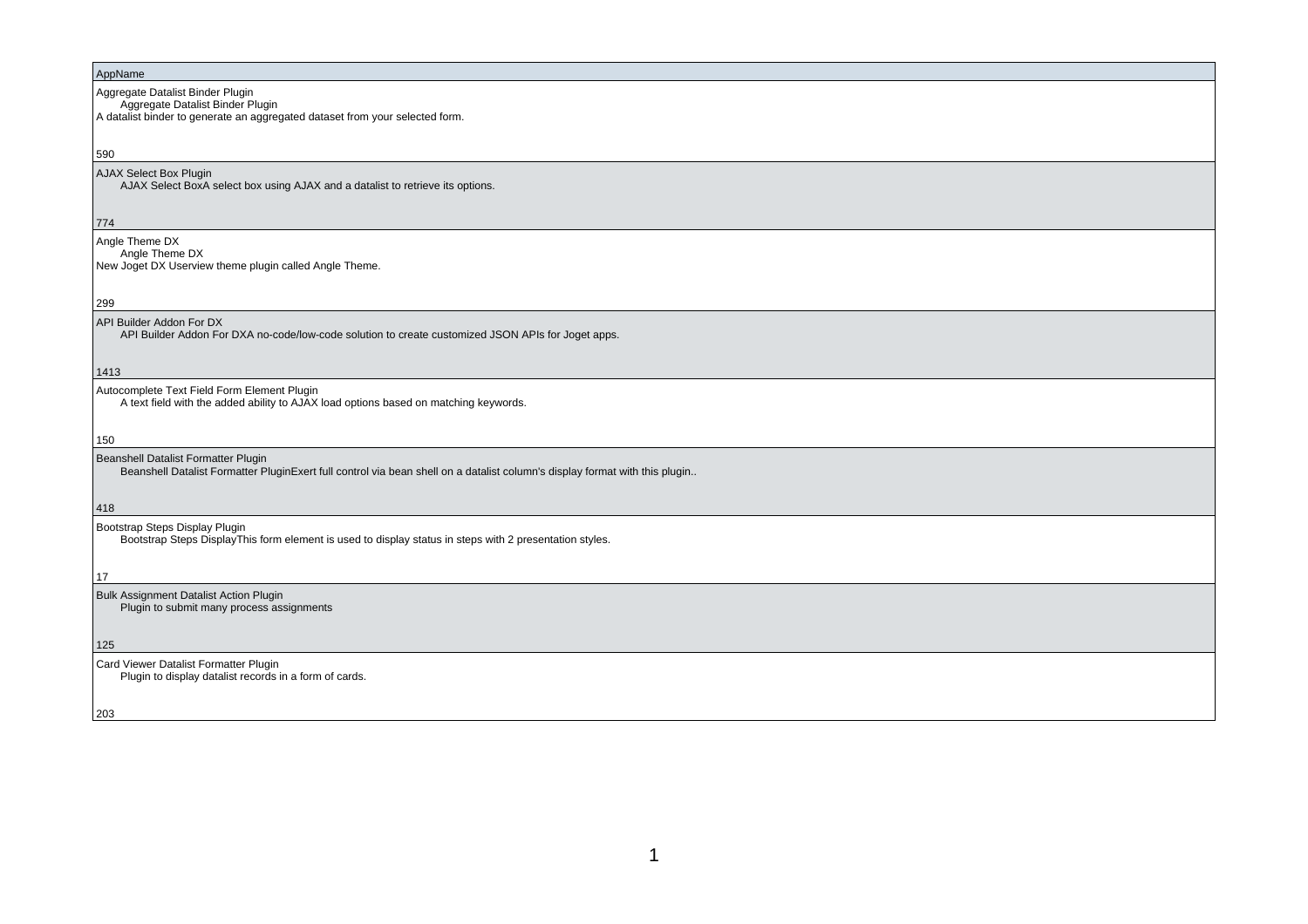## AppName Aggregate Datalist Binder Plugin Aggregate Datalist Binder Plugin A datalist binder to generate an aggregated dataset from your selected form.590 AJAX Select Box Plugin AJAX Select BoxA select box using AJAX and a datalist to retrieve its options.774 Angle Theme DX Angle Theme DX New Joget DX Userview theme plugin called Angle Theme.299 API Builder Addon For DX API Builder Addon For DXA no-code/low-code solution to create customized JSON APIs for Joget apps.1413 Autocomplete Text Field Form Element Plugin A text field with the added ability to AJAX load options based on matching keywords.150 Beanshell Datalist Formatter Plugin Beanshell Datalist Formatter PluginExert full control via bean shell on a datalist column's display format with this plugin..418 Bootstrap Steps Display Plugin Bootstrap Steps DisplayThis form element is used to display status in steps with 2 presentation styles.17 Bulk Assignment Datalist Action Plugin Plugin to submit many process assignments125 Card Viewer Datalist Formatter PluginPlugin to display datalist records in a form of cards.

203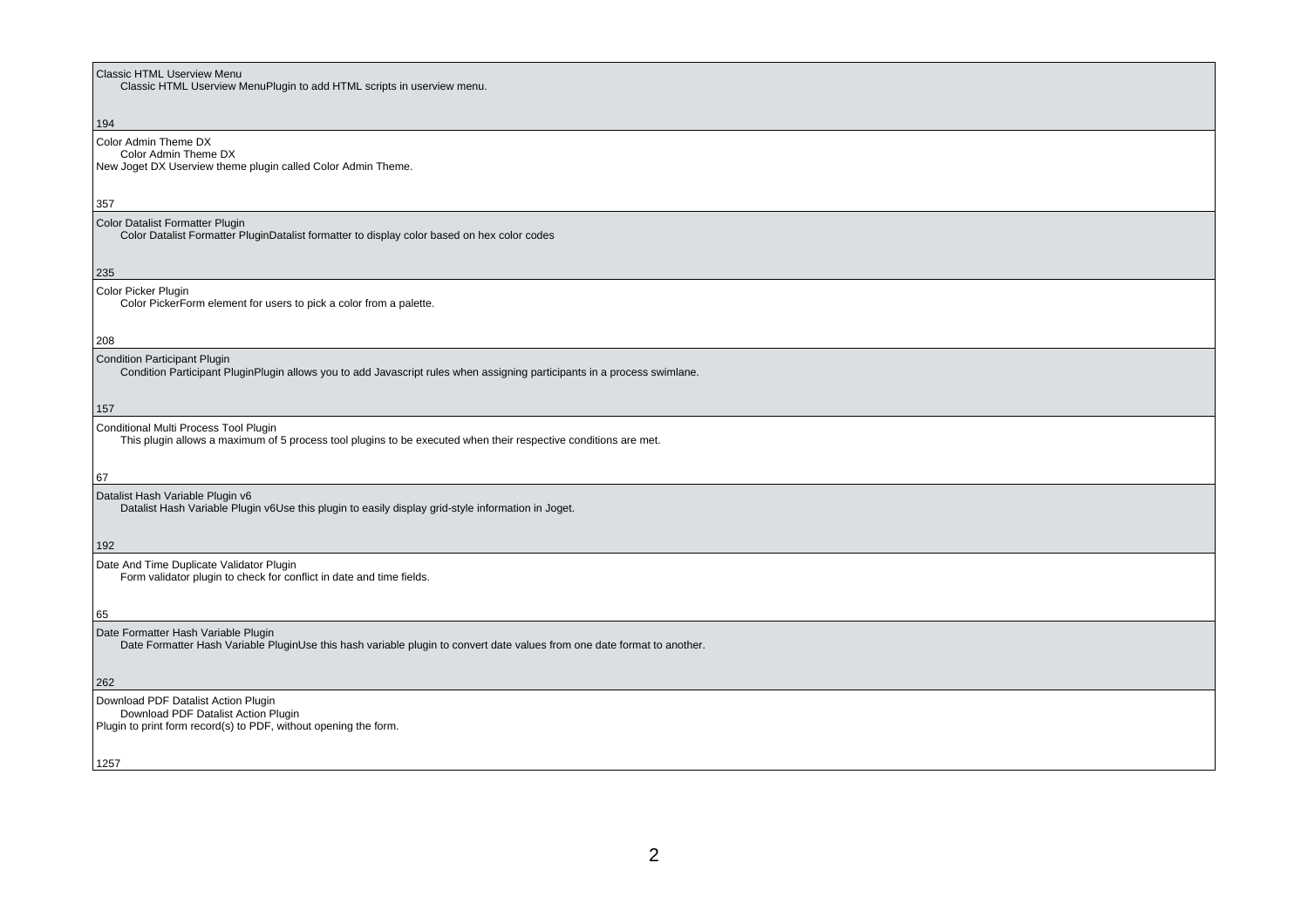| <b>Classic HTML Userview Menu</b><br>Classic HTML Userview MenuPlugin to add HTML scripts in userview menu.                                                     |
|-----------------------------------------------------------------------------------------------------------------------------------------------------------------|
|                                                                                                                                                                 |
| 194                                                                                                                                                             |
| Color Admin Theme DX<br>Color Admin Theme DX<br>New Joget DX Userview theme plugin called Color Admin Theme.                                                    |
| 357                                                                                                                                                             |
| Color Datalist Formatter Plugin<br>Color Datalist Formatter PluginDatalist formatter to display color based on hex color codes                                  |
| 235                                                                                                                                                             |
| Color Picker Plugin<br>Color PickerForm element for users to pick a color from a palette.                                                                       |
| 208                                                                                                                                                             |
| Condition Participant Plugin<br>Condition Participant PluginPlugin allows you to add Javascript rules when assigning participants in a process swimlane.        |
| 157                                                                                                                                                             |
| Conditional Multi Process Tool Plugin<br>This plugin allows a maximum of 5 process tool plugins to be executed when their respective conditions are met.        |
| 67                                                                                                                                                              |
| Datalist Hash Variable Plugin v6<br>Datalist Hash Variable Plugin v6Use this plugin to easily display grid-style information in Joget.                          |
| 192                                                                                                                                                             |
| Date And Time Duplicate Validator Plugin<br>Form validator plugin to check for conflict in date and time fields.                                                |
| 65                                                                                                                                                              |
| Date Formatter Hash Variable Plugin<br>Date Formatter Hash Variable PluginUse this hash variable plugin to convert date values from one date format to another. |
| 262                                                                                                                                                             |
| Download PDF Datalist Action Plugin<br>Download PDF Datalist Action Plugin                                                                                      |
| Plugin to print form record(s) to PDF, without opening the form.                                                                                                |
| 1257                                                                                                                                                            |
|                                                                                                                                                                 |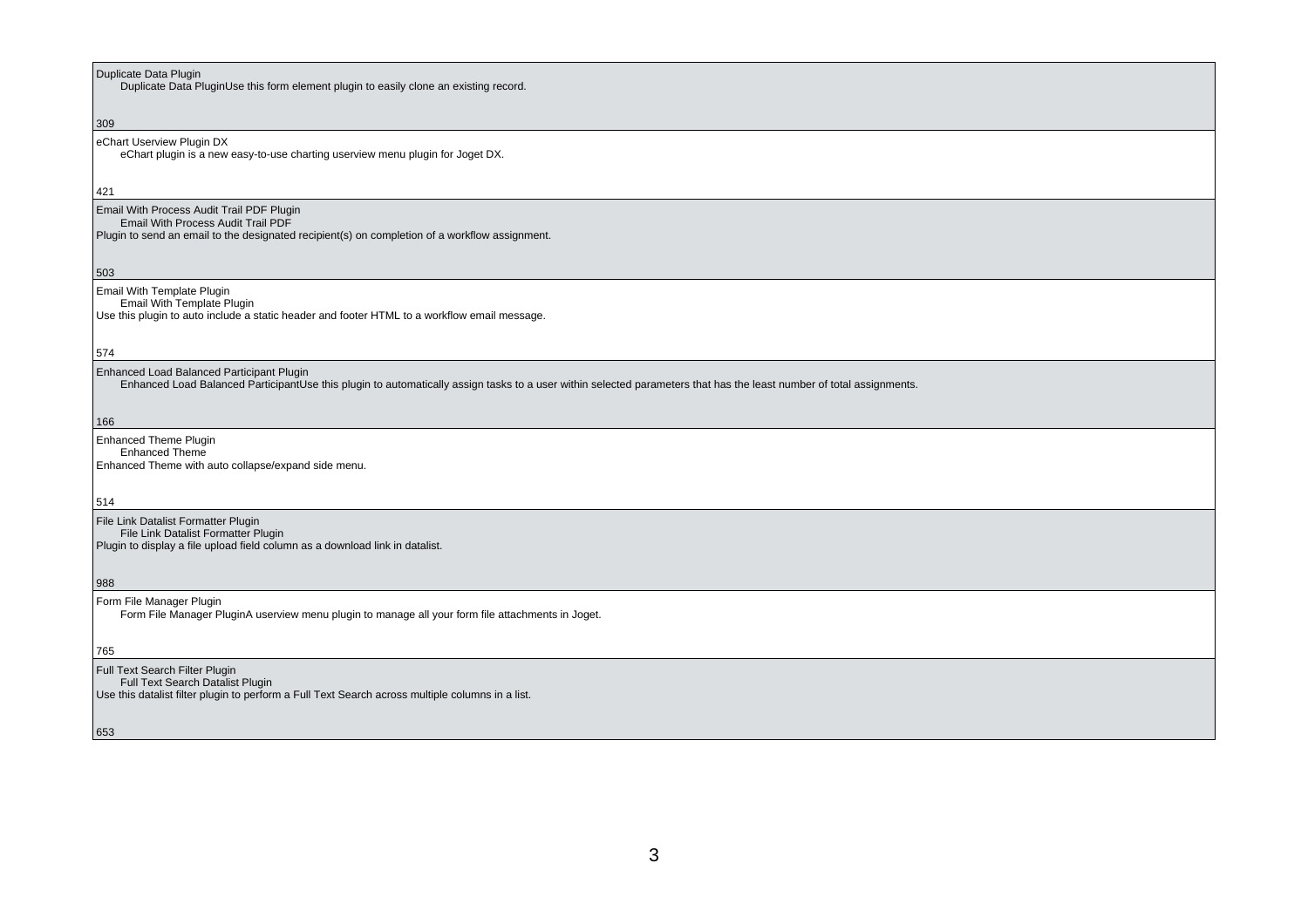| Duplicate Data Plugin<br>Duplicate Data PluginUse this form element plugin to easily clone an existing record.                                                                                                    |
|-------------------------------------------------------------------------------------------------------------------------------------------------------------------------------------------------------------------|
|                                                                                                                                                                                                                   |
| 309                                                                                                                                                                                                               |
| eChart Userview Plugin DX<br>eChart plugin is a new easy-to-use charting userview menu plugin for Joget DX.                                                                                                       |
| 421                                                                                                                                                                                                               |
| Email With Process Audit Trail PDF Plugin<br>Email With Process Audit Trail PDF<br>Plugin to send an email to the designated recipient(s) on completion of a workflow assignment.                                 |
| 503                                                                                                                                                                                                               |
| Email With Template Plugin<br><b>Email With Template Plugin</b><br>Use this plugin to auto include a static header and footer HTML to a workflow email message.                                                   |
| 574                                                                                                                                                                                                               |
| Enhanced Load Balanced Participant Plugin<br>Enhanced Load Balanced ParticipantUse this plugin to automatically assign tasks to a user within selected parameters that has the least number of total assignments. |
| 166                                                                                                                                                                                                               |
| <b>Enhanced Theme Plugin</b><br><b>Enhanced Theme</b><br>Enhanced Theme with auto collapse/expand side menu.                                                                                                      |
|                                                                                                                                                                                                                   |
| 514                                                                                                                                                                                                               |
| File Link Datalist Formatter Plugin<br>File Link Datalist Formatter Plugin<br>Plugin to display a file upload field column as a download link in datalist.                                                        |
| 988                                                                                                                                                                                                               |
| Form File Manager Plugin<br>Form File Manager PluginA userview menu plugin to manage all your form file attachments in Joget.                                                                                     |
| 765                                                                                                                                                                                                               |
| Full Text Search Filter Plugin<br>Full Text Search Datalist Plugin<br>Use this datalist filter plugin to perform a Full Text Search across multiple columns in a list.                                            |
| 653                                                                                                                                                                                                               |
|                                                                                                                                                                                                                   |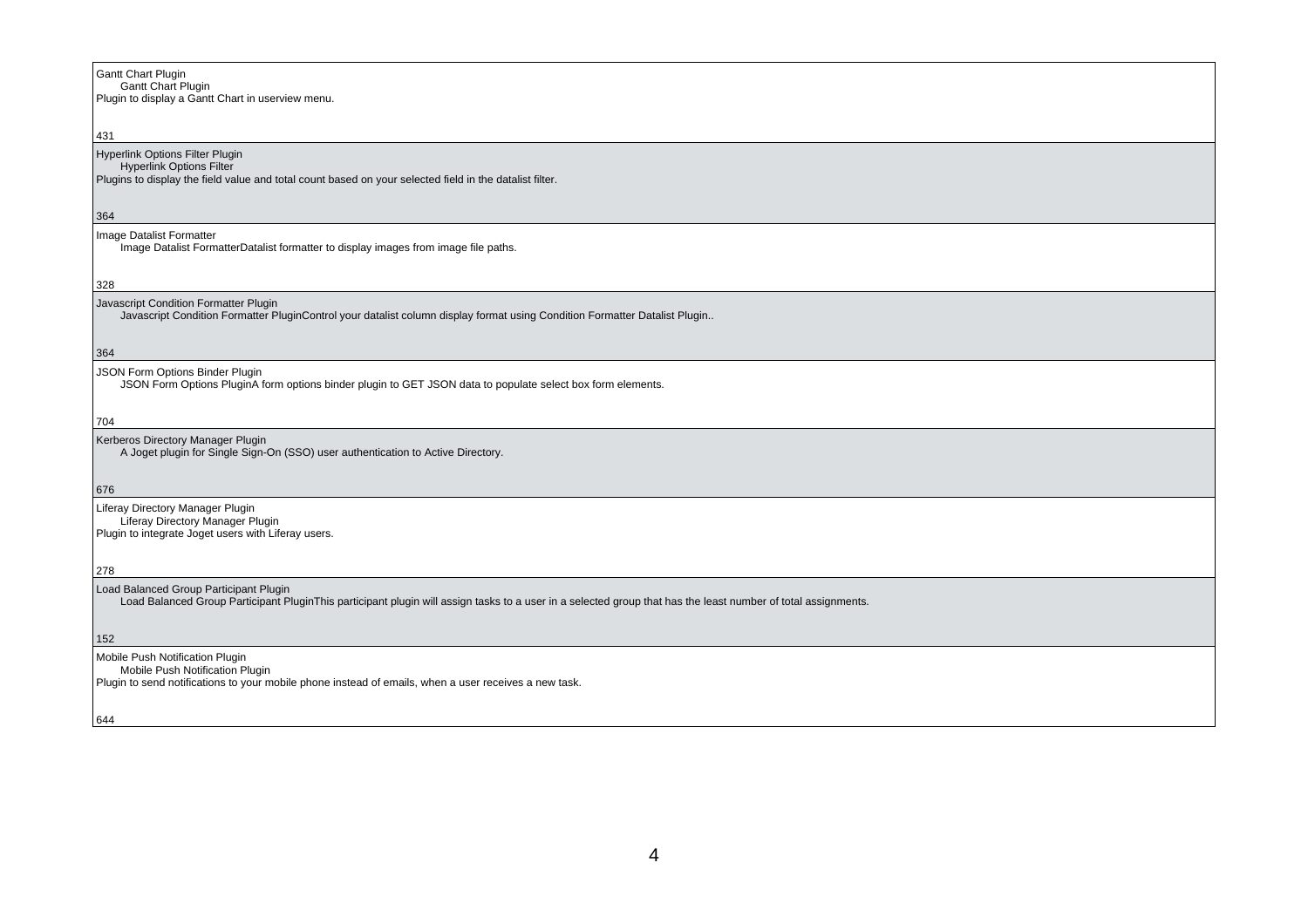| Gantt Chart Plugin                                |
|---------------------------------------------------|
| <b>Gantt Chart Plugin</b>                         |
| Plugin to display a Gantt Chart in userview menu. |

## 431 Hyperlink Options Filter Plugin Hyperlink Options Filter Plugins to display the field value and total count based on your selected field in the datalist filter. $364$ Image Datalist Formatter Image Datalist FormatterDatalist formatter to display images from image file paths.328Javascript Condition Formatter Plugin Javascript Condition Formatter PluginControl your datalist column display format using Condition Formatter Datalist Plugin..364 JSON Form Options Binder Plugin JSON Form Options PluginA form options binder plugin to GET JSON data to populate select box form elements.704Kerberos Directory Manager Plugin A Joget plugin for Single Sign-On (SSO) user authentication to Active Directory.676Liferay Directory Manager Plugin Liferay Directory Manager Plugin Plugin to integrate Joget users with Liferay users.278Load Balanced Group Participant PluginLoad Balanced Group Participant PluginThis participant plugin will assign tasks to a user in a selected group that has the least number of total assignments.

152

Mobile Push Notification Plugin

Mobile Push Notification Plugin

Plugin to send notifications to your mobile phone instead of emails, when a user receives a new task.

644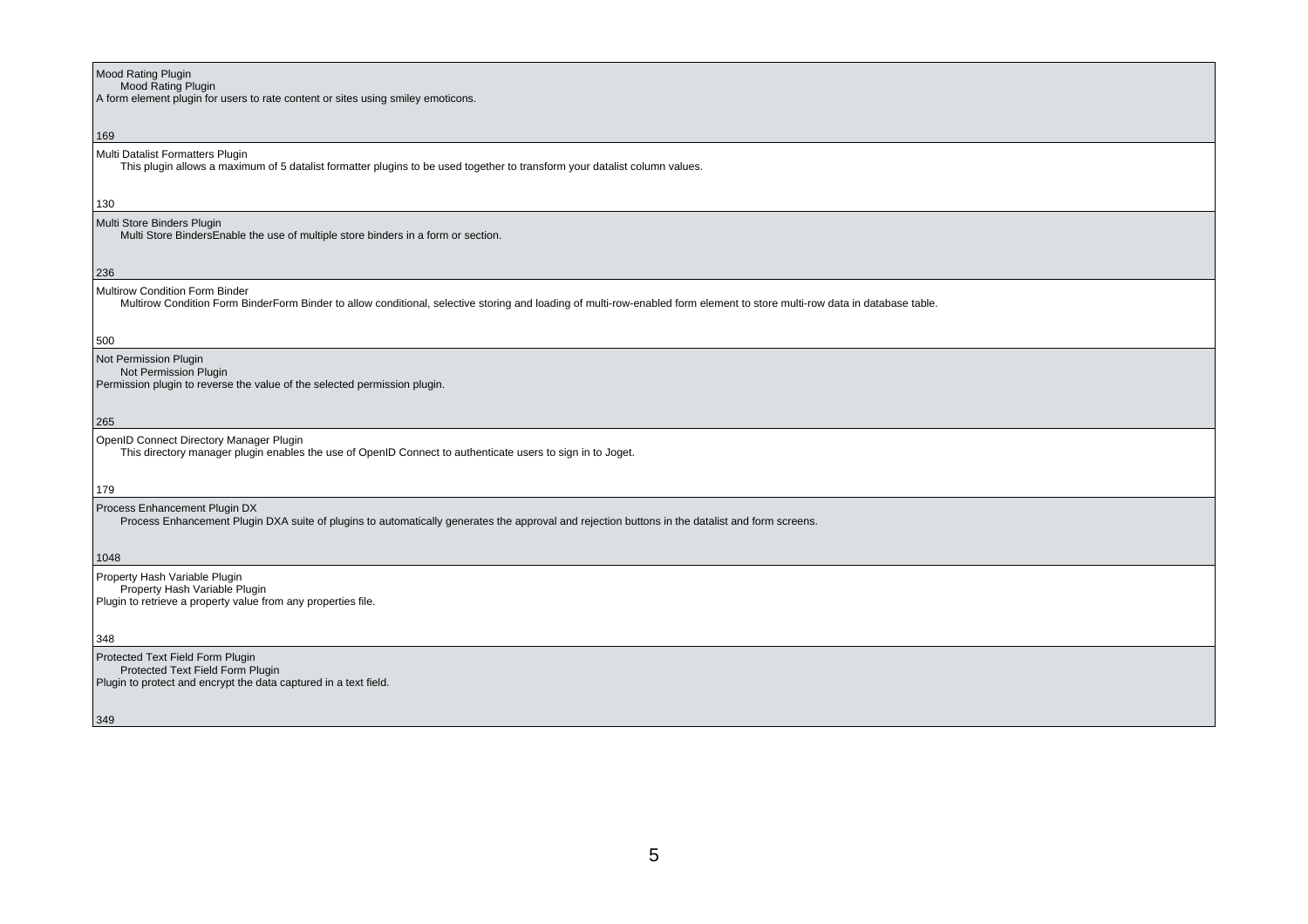| <b>Mood Rating Plugin</b><br>Mood Rating Plugin                                                                                                                            |
|----------------------------------------------------------------------------------------------------------------------------------------------------------------------------|
| A form element plugin for users to rate content or sites using smiley emoticons.                                                                                           |
|                                                                                                                                                                            |
| 169                                                                                                                                                                        |
| Multi Datalist Formatters Plugin                                                                                                                                           |
| This plugin allows a maximum of 5 datalist formatter plugins to be used together to transform your datalist column values.                                                 |
|                                                                                                                                                                            |
| 130                                                                                                                                                                        |
| Multi Store Binders Plugin                                                                                                                                                 |
| Multi Store BindersEnable the use of multiple store binders in a form or section.                                                                                          |
|                                                                                                                                                                            |
| 236                                                                                                                                                                        |
| Multirow Condition Form Binder                                                                                                                                             |
| Multirow Condition Form BinderForm Binder to allow conditional, selective storing and loading of multi-row-enabled form element to store multi-row data in database table. |
|                                                                                                                                                                            |
|                                                                                                                                                                            |
| 500                                                                                                                                                                        |
| Not Permission Plugin<br>Not Permission Plugin                                                                                                                             |
| Permission plugin to reverse the value of the selected permission plugin.                                                                                                  |
|                                                                                                                                                                            |
|                                                                                                                                                                            |
| 265                                                                                                                                                                        |
| OpenID Connect Directory Manager Plugin                                                                                                                                    |
| This directory manager plugin enables the use of OpenID Connect to authenticate users to sign in to Joget.                                                                 |
|                                                                                                                                                                            |
| 179                                                                                                                                                                        |
| Process Enhancement Plugin DX                                                                                                                                              |
| Process Enhancement Plugin DXA suite of plugins to automatically generates the approval and rejection buttons in the datalist and form screens.                            |
|                                                                                                                                                                            |
| 1048                                                                                                                                                                       |
| Property Hash Variable Plugin                                                                                                                                              |
| Property Hash Variable Plugin                                                                                                                                              |
| Plugin to retrieve a property value from any properties file.                                                                                                              |
|                                                                                                                                                                            |
| 348                                                                                                                                                                        |
|                                                                                                                                                                            |
| Protected Text Field Form Plugin                                                                                                                                           |
| Protected Text Field Form Plugin                                                                                                                                           |
| Plugin to protect and encrypt the data captured in a text field.                                                                                                           |
|                                                                                                                                                                            |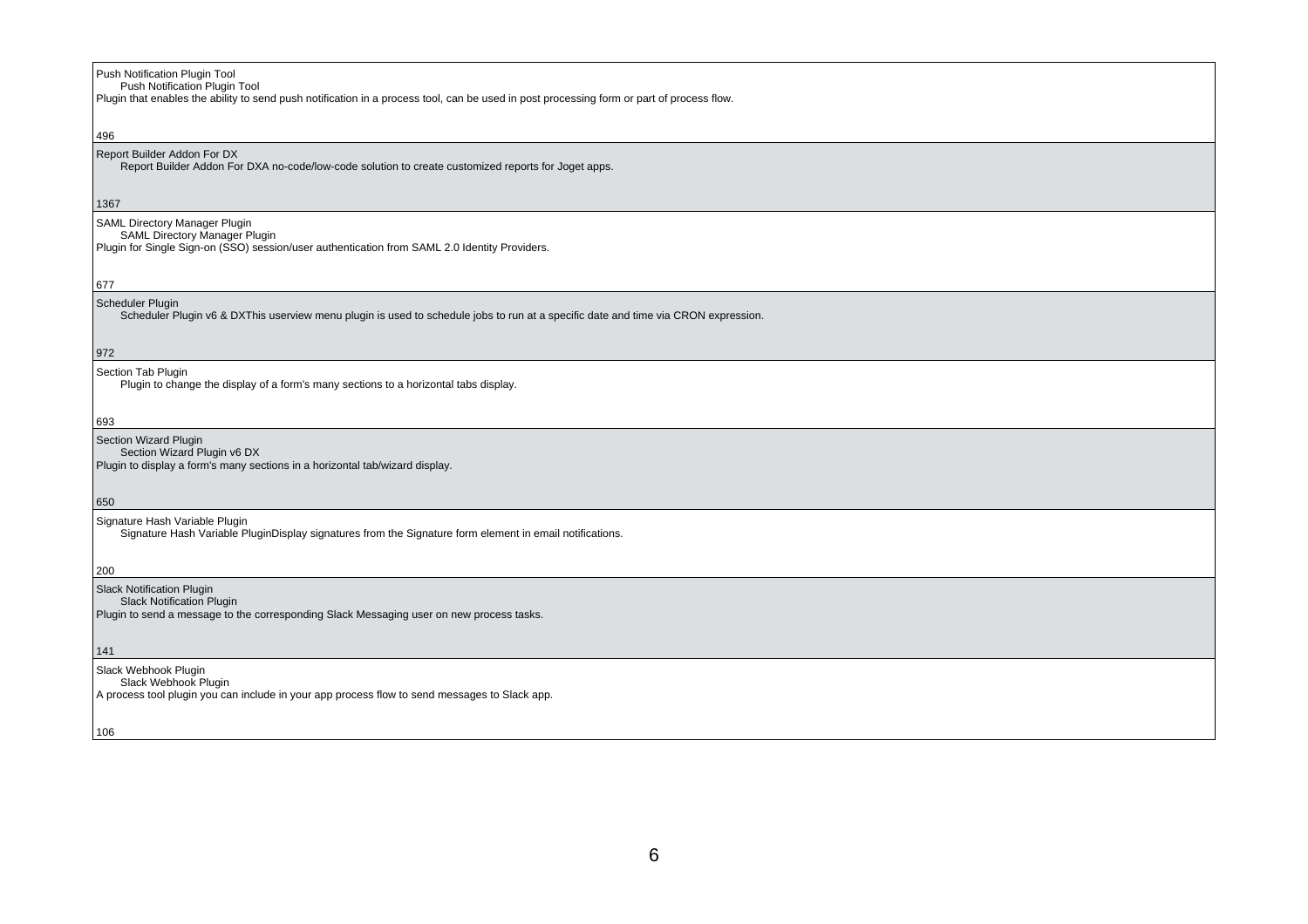| Push Notification Plugin Tool<br>Push Notification Plugin Tool                                                                                                         |
|------------------------------------------------------------------------------------------------------------------------------------------------------------------------|
| Plugin that enables the ability to send push notification in a process tool, can be used in post processing form or part of process flow.                              |
| 496                                                                                                                                                                    |
| Report Builder Addon For DX<br>Report Builder Addon For DXA no-code/low-code solution to create customized reports for Joget apps.                                     |
| 1367                                                                                                                                                                   |
| SAML Directory Manager Plugin<br><b>SAML Directory Manager Plugin</b><br>Plugin for Single Sign-on (SSO) session/user authentication from SAML 2.0 Identity Providers. |
| 677                                                                                                                                                                    |
| Scheduler Plugin<br>Scheduler Plugin v6 & DXThis userview menu plugin is used to schedule jobs to run at a specific date and time via CRON expression.                 |
| 972                                                                                                                                                                    |
| Section Tab Plugin<br>Plugin to change the display of a form's many sections to a horizontal tabs display.                                                             |
| 693                                                                                                                                                                    |
| Section Wizard Plugin<br>Section Wizard Plugin v6 DX<br>Plugin to display a form's many sections in a horizontal tab/wizard display.                                   |
| 650                                                                                                                                                                    |
| Signature Hash Variable Plugin<br>Signature Hash Variable PluginDisplay signatures from the Signature form element in email notifications.                             |
| 200                                                                                                                                                                    |
| Slack Notification Plugin<br><b>Slack Notification Plugin</b>                                                                                                          |
| Plugin to send a message to the corresponding Slack Messaging user on new process tasks.                                                                               |
| 141                                                                                                                                                                    |
| Slack Webhook Plugin<br>Slack Webhook Plugin<br>A process tool plugin you can include in your app process flow to send messages to Slack app.                          |
| 106                                                                                                                                                                    |